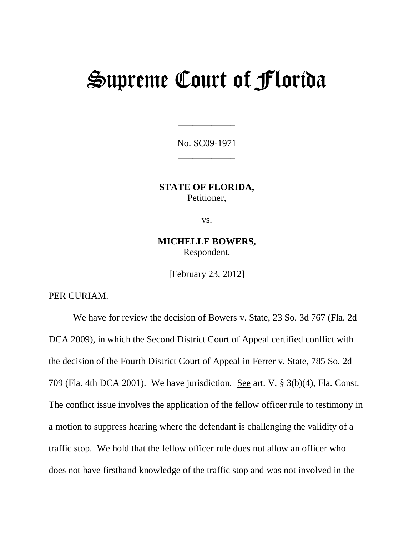# Supreme Court of Florida

No. SC09-1971 \_\_\_\_\_\_\_\_\_\_\_\_

\_\_\_\_\_\_\_\_\_\_\_\_

**STATE OF FLORIDA,**  Petitioner,

vs.

**MICHELLE BOWERS,**  Respondent.

[February 23, 2012]

PER CURIAM.

We have for review the decision of Bowers v. State, 23 So. 3d 767 (Fla. 2d DCA 2009), in which the Second District Court of Appeal certified conflict with the decision of the Fourth District Court of Appeal in Ferrer v. State, 785 So. 2d 709 (Fla. 4th DCA 2001). We have jurisdiction. See art. V, § 3(b)(4), Fla. Const. The conflict issue involves the application of the fellow officer rule to testimony in a motion to suppress hearing where the defendant is challenging the validity of a traffic stop. We hold that the fellow officer rule does not allow an officer who does not have firsthand knowledge of the traffic stop and was not involved in the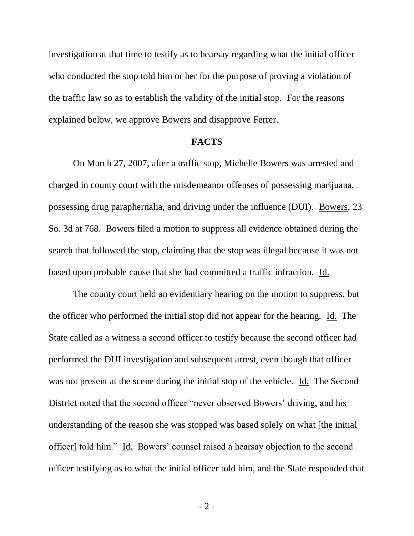investigation at that time to testify as to hearsay regarding what the initial officer who conducted the stop told him or her for the purpose of proving a violation of the traffic law so as to establish the validity of the initial stop. For the reasons explained below, we approve Bowers and disapprove Ferrer.

### **FACTS**

On March 27, 2007, after a traffic stop, Michelle Bowers was arrested and charged in county court with the misdemeanor offenses of possessing marijuana, possessing drug paraphernalia, and driving under the influence (DUI). Bowers, 23 So. 3d at 768. Bowers filed a motion to suppress all evidence obtained during the search that followed the stop, claiming that the stop was illegal because it was not based upon probable cause that she had committed a traffic infraction. Id.

The county court held an evidentiary hearing on the motion to suppress, but the officer who performed the initial stop did not appear for the hearing. Id. The State called as a witness a second officer to testify because the second officer had performed the DUI investigation and subsequent arrest, even though that officer was not present at the scene during the initial stop of the vehicle. Id. The Second District noted that the second officer "never observed Bowers' driving, and his understanding of the reason she was stopped was based solely on what [the initial officer] told him." Id. Bowers" counsel raised a hearsay objection to the second officer testifying as to what the initial officer told him, and the State responded that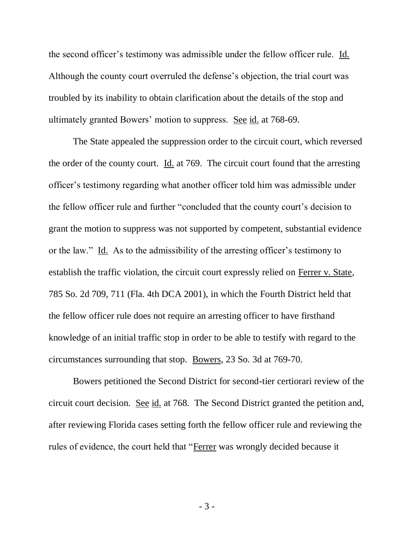the second officer"s testimony was admissible under the fellow officer rule. Id. Although the county court overruled the defense"s objection, the trial court was troubled by its inability to obtain clarification about the details of the stop and ultimately granted Bowers" motion to suppress. See id. at 768-69.

The State appealed the suppression order to the circuit court, which reversed the order of the county court. Id. at 769. The circuit court found that the arresting officer"s testimony regarding what another officer told him was admissible under the fellow officer rule and further "concluded that the county court's decision to grant the motion to suppress was not supported by competent, substantial evidence or the law." Id. As to the admissibility of the arresting officer"s testimony to establish the traffic violation, the circuit court expressly relied on Ferrer v. State, 785 So. 2d 709, 711 (Fla. 4th DCA 2001), in which the Fourth District held that the fellow officer rule does not require an arresting officer to have firsthand knowledge of an initial traffic stop in order to be able to testify with regard to the circumstances surrounding that stop. Bowers, 23 So. 3d at 769-70.

Bowers petitioned the Second District for second-tier certiorari review of the circuit court decision. See id. at 768. The Second District granted the petition and, after reviewing Florida cases setting forth the fellow officer rule and reviewing the rules of evidence, the court held that "Ferrer was wrongly decided because it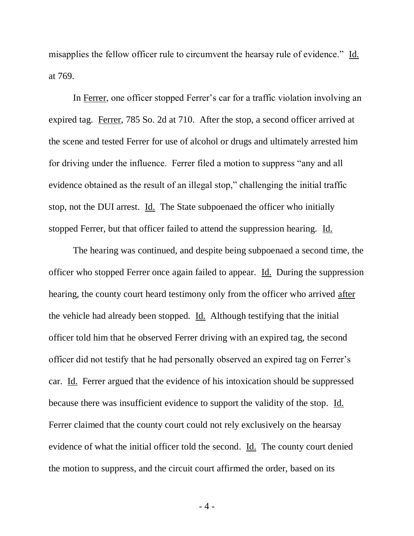misapplies the fellow officer rule to circumvent the hearsay rule of evidence." Id. at 769.

In Ferrer, one officer stopped Ferrer's car for a traffic violation involving an expired tag. Ferrer, 785 So. 2d at 710. After the stop, a second officer arrived at the scene and tested Ferrer for use of alcohol or drugs and ultimately arrested him for driving under the influence. Ferrer filed a motion to suppress "any and all evidence obtained as the result of an illegal stop," challenging the initial traffic stop, not the DUI arrest. Id. The State subpoenaed the officer who initially stopped Ferrer, but that officer failed to attend the suppression hearing. Id.

The hearing was continued, and despite being subpoenaed a second time, the officer who stopped Ferrer once again failed to appear. Id. During the suppression hearing, the county court heard testimony only from the officer who arrived after the vehicle had already been stopped. Id. Although testifying that the initial officer told him that he observed Ferrer driving with an expired tag, the second officer did not testify that he had personally observed an expired tag on Ferrer"s car. Id. Ferrer argued that the evidence of his intoxication should be suppressed because there was insufficient evidence to support the validity of the stop. Id. Ferrer claimed that the county court could not rely exclusively on the hearsay evidence of what the initial officer told the second. Id. The county court denied the motion to suppress, and the circuit court affirmed the order, based on its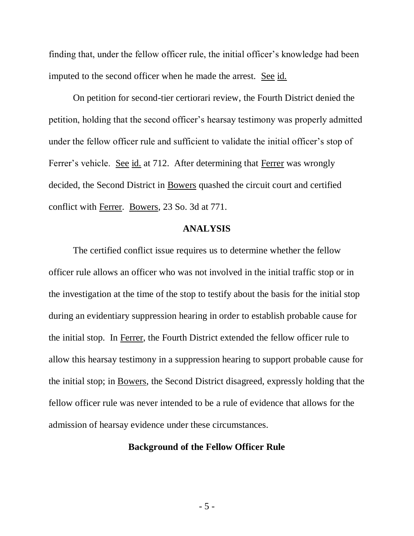finding that, under the fellow officer rule, the initial officer"s knowledge had been imputed to the second officer when he made the arrest. See id.

On petition for second-tier certiorari review, the Fourth District denied the petition, holding that the second officer"s hearsay testimony was properly admitted under the fellow officer rule and sufficient to validate the initial officer"s stop of Ferrer's vehicle. See id. at 712. After determining that Ferrer was wrongly decided, the Second District in Bowers quashed the circuit court and certified conflict with Ferrer. Bowers, 23 So. 3d at 771.

## **ANALYSIS**

The certified conflict issue requires us to determine whether the fellow officer rule allows an officer who was not involved in the initial traffic stop or in the investigation at the time of the stop to testify about the basis for the initial stop during an evidentiary suppression hearing in order to establish probable cause for the initial stop. In Ferrer, the Fourth District extended the fellow officer rule to allow this hearsay testimony in a suppression hearing to support probable cause for the initial stop; in Bowers, the Second District disagreed, expressly holding that the fellow officer rule was never intended to be a rule of evidence that allows for the admission of hearsay evidence under these circumstances.

## **Background of the Fellow Officer Rule**

- 5 -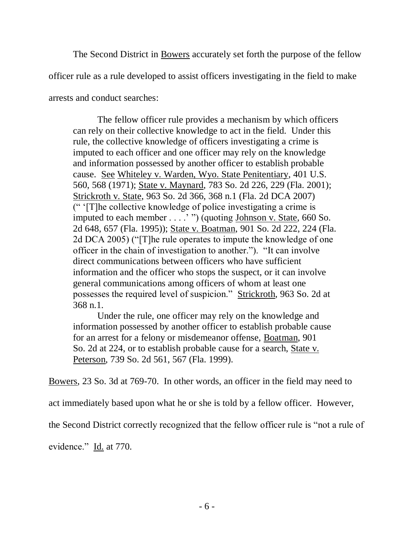The Second District in Bowers accurately set forth the purpose of the fellow

officer rule as a rule developed to assist officers investigating in the field to make

arrests and conduct searches:

The fellow officer rule provides a mechanism by which officers can rely on their collective knowledge to act in the field. Under this rule, the collective knowledge of officers investigating a crime is imputed to each officer and one officer may rely on the knowledge and information possessed by another officer to establish probable cause. See Whiteley v. Warden, Wyo. State Penitentiary, 401 U.S. 560, 568 (1971); State v. Maynard, 783 So. 2d 226, 229 (Fla. 2001); Strickroth v. State, 963 So. 2d 366, 368 n.1 (Fla. 2d DCA 2007) (" "[T]he collective knowledge of police investigating a crime is imputed to each member . . . . "") (quoting <u>Johnson v. State</u>, 660 So. 2d 648, 657 (Fla. 1995)); State v. Boatman, 901 So. 2d 222, 224 (Fla. 2d DCA 2005) ("[T]he rule operates to impute the knowledge of one officer in the chain of investigation to another."). "It can involve direct communications between officers who have sufficient information and the officer who stops the suspect, or it can involve general communications among officers of whom at least one possesses the required level of suspicion." Strickroth, 963 So. 2d at 368 n.1.

Under the rule, one officer may rely on the knowledge and information possessed by another officer to establish probable cause for an arrest for a felony or misdemeanor offense, Boatman, 901 So. 2d at 224, or to establish probable cause for a search, State v. Peterson, 739 So. 2d 561, 567 (Fla. 1999).

Bowers, 23 So. 3d at 769-70. In other words, an officer in the field may need to

act immediately based upon what he or she is told by a fellow officer. However,

the Second District correctly recognized that the fellow officer rule is "not a rule of

evidence." Id. at 770.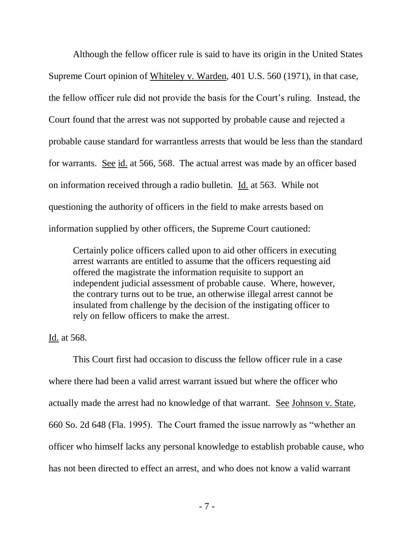Although the fellow officer rule is said to have its origin in the United States Supreme Court opinion of Whiteley v. Warden, 401 U.S. 560 (1971), in that case, the fellow officer rule did not provide the basis for the Court"s ruling. Instead, the Court found that the arrest was not supported by probable cause and rejected a probable cause standard for warrantless arrests that would be less than the standard for warrants. See id. at 566, 568. The actual arrest was made by an officer based on information received through a radio bulletin. Id. at 563. While not questioning the authority of officers in the field to make arrests based on information supplied by other officers, the Supreme Court cautioned:

Certainly police officers called upon to aid other officers in executing arrest warrants are entitled to assume that the officers requesting aid offered the magistrate the information requisite to support an independent judicial assessment of probable cause. Where, however, the contrary turns out to be true, an otherwise illegal arrest cannot be insulated from challenge by the decision of the instigating officer to rely on fellow officers to make the arrest.

Id. at 568.

This Court first had occasion to discuss the fellow officer rule in a case where there had been a valid arrest warrant issued but where the officer who actually made the arrest had no knowledge of that warrant. See Johnson v. State, 660 So. 2d 648 (Fla. 1995). The Court framed the issue narrowly as "whether an officer who himself lacks any personal knowledge to establish probable cause, who has not been directed to effect an arrest, and who does not know a valid warrant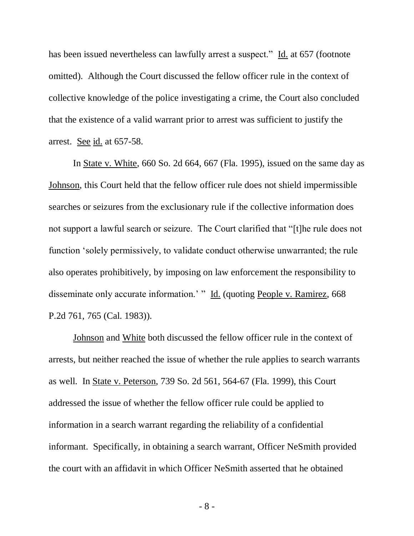has been issued nevertheless can lawfully arrest a suspect." Id. at 657 (footnote omitted). Although the Court discussed the fellow officer rule in the context of collective knowledge of the police investigating a crime, the Court also concluded that the existence of a valid warrant prior to arrest was sufficient to justify the arrest. See id. at 657-58.

In State v. White, 660 So. 2d 664, 667 (Fla. 1995), issued on the same day as Johnson, this Court held that the fellow officer rule does not shield impermissible searches or seizures from the exclusionary rule if the collective information does not support a lawful search or seizure. The Court clarified that "[t]he rule does not function "solely permissively, to validate conduct otherwise unwarranted; the rule also operates prohibitively, by imposing on law enforcement the responsibility to disseminate only accurate information.' " Id. (quoting People v. Ramirez, 668) P.2d 761, 765 (Cal. 1983)).

Johnson and White both discussed the fellow officer rule in the context of arrests, but neither reached the issue of whether the rule applies to search warrants as well. In State v. Peterson, 739 So. 2d 561, 564-67 (Fla. 1999), this Court addressed the issue of whether the fellow officer rule could be applied to information in a search warrant regarding the reliability of a confidential informant. Specifically, in obtaining a search warrant, Officer NeSmith provided the court with an affidavit in which Officer NeSmith asserted that he obtained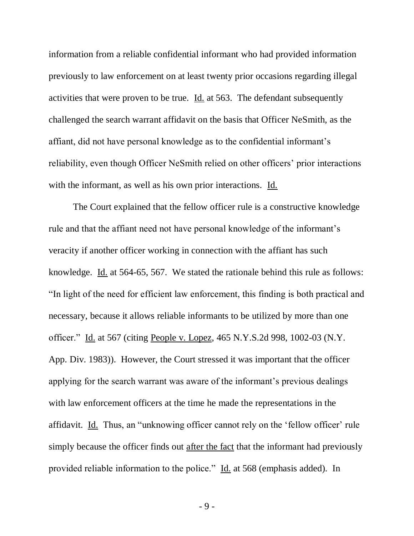information from a reliable confidential informant who had provided information previously to law enforcement on at least twenty prior occasions regarding illegal activities that were proven to be true.  $\underline{Id}$  at 563. The defendant subsequently challenged the search warrant affidavit on the basis that Officer NeSmith, as the affiant, did not have personal knowledge as to the confidential informant"s reliability, even though Officer NeSmith relied on other officers' prior interactions with the informant, as well as his own prior interactions. Id.

The Court explained that the fellow officer rule is a constructive knowledge rule and that the affiant need not have personal knowledge of the informant's veracity if another officer working in connection with the affiant has such knowledge. Id. at 564-65, 567. We stated the rationale behind this rule as follows: "In light of the need for efficient law enforcement, this finding is both practical and necessary, because it allows reliable informants to be utilized by more than one officer." Id. at 567 (citing People v. Lopez, 465 N.Y.S.2d 998, 1002-03 (N.Y. App. Div. 1983)). However, the Court stressed it was important that the officer applying for the search warrant was aware of the informant"s previous dealings with law enforcement officers at the time he made the representations in the affidavit. Id. Thus, an "unknowing officer cannot rely on the "fellow officer" rule simply because the officer finds out after the fact that the informant had previously provided reliable information to the police." Id. at 568 (emphasis added). In

- 9 -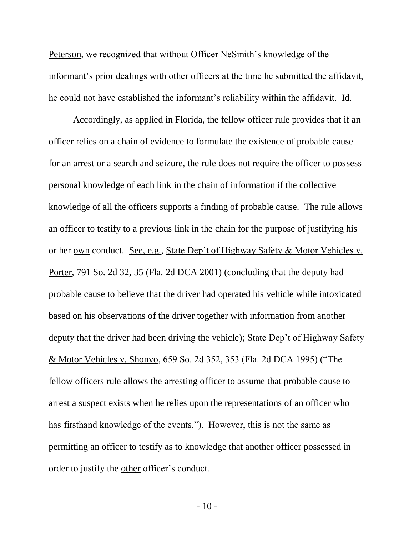Peterson, we recognized that without Officer NeSmith's knowledge of the informant's prior dealings with other officers at the time he submitted the affidavit, he could not have established the informant"s reliability within the affidavit. Id.

Accordingly, as applied in Florida, the fellow officer rule provides that if an officer relies on a chain of evidence to formulate the existence of probable cause for an arrest or a search and seizure, the rule does not require the officer to possess personal knowledge of each link in the chain of information if the collective knowledge of all the officers supports a finding of probable cause. The rule allows an officer to testify to a previous link in the chain for the purpose of justifying his or her own conduct. See, e.g., State Dep"t of Highway Safety & Motor Vehicles v. Porter, 791 So. 2d 32, 35 (Fla. 2d DCA 2001) (concluding that the deputy had probable cause to believe that the driver had operated his vehicle while intoxicated based on his observations of the driver together with information from another deputy that the driver had been driving the vehicle); State Dep"t of Highway Safety & Motor Vehicles v. Shonyo, 659 So. 2d 352, 353 (Fla. 2d DCA 1995) ("The fellow officers rule allows the arresting officer to assume that probable cause to arrest a suspect exists when he relies upon the representations of an officer who has firsthand knowledge of the events."). However, this is not the same as permitting an officer to testify as to knowledge that another officer possessed in order to justify the other officer"s conduct.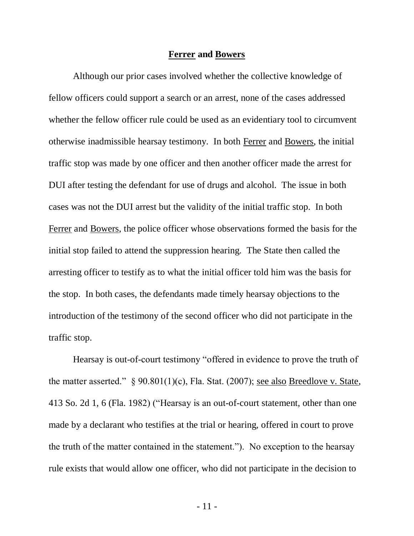### **Ferrer and Bowers**

Although our prior cases involved whether the collective knowledge of fellow officers could support a search or an arrest, none of the cases addressed whether the fellow officer rule could be used as an evidentiary tool to circumvent otherwise inadmissible hearsay testimony. In both Ferrer and Bowers, the initial traffic stop was made by one officer and then another officer made the arrest for DUI after testing the defendant for use of drugs and alcohol. The issue in both cases was not the DUI arrest but the validity of the initial traffic stop. In both Ferrer and Bowers, the police officer whose observations formed the basis for the initial stop failed to attend the suppression hearing. The State then called the arresting officer to testify as to what the initial officer told him was the basis for the stop. In both cases, the defendants made timely hearsay objections to the introduction of the testimony of the second officer who did not participate in the traffic stop.

Hearsay is out-of-court testimony "offered in evidence to prove the truth of the matter asserted." § 90.801(1)(c), Fla. Stat. (2007); see also Breedlove v. State, 413 So. 2d 1, 6 (Fla. 1982) ("Hearsay is an out-of-court statement, other than one made by a declarant who testifies at the trial or hearing, offered in court to prove the truth of the matter contained in the statement."). No exception to the hearsay rule exists that would allow one officer, who did not participate in the decision to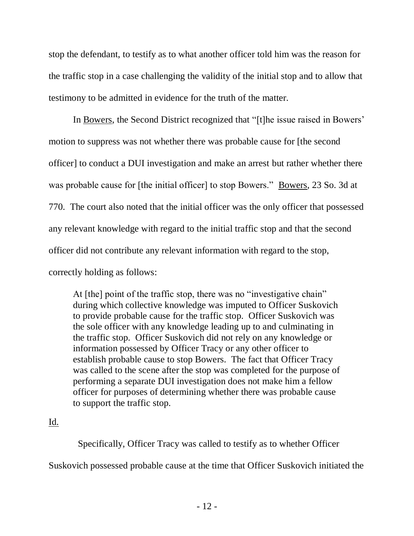stop the defendant, to testify as to what another officer told him was the reason for the traffic stop in a case challenging the validity of the initial stop and to allow that testimony to be admitted in evidence for the truth of the matter.

In Bowers, the Second District recognized that "[t]he issue raised in Bowers' motion to suppress was not whether there was probable cause for [the second officer] to conduct a DUI investigation and make an arrest but rather whether there was probable cause for [the initial officer] to stop Bowers." <u>Bowers</u>, 23 So. 3d at 770. The court also noted that the initial officer was the only officer that possessed any relevant knowledge with regard to the initial traffic stop and that the second officer did not contribute any relevant information with regard to the stop, correctly holding as follows:

At [the] point of the traffic stop, there was no "investigative chain" during which collective knowledge was imputed to Officer Suskovich to provide probable cause for the traffic stop. Officer Suskovich was the sole officer with any knowledge leading up to and culminating in the traffic stop. Officer Suskovich did not rely on any knowledge or information possessed by Officer Tracy or any other officer to establish probable cause to stop Bowers. The fact that Officer Tracy was called to the scene after the stop was completed for the purpose of performing a separate DUI investigation does not make him a fellow officer for purposes of determining whether there was probable cause to support the traffic stop.

# Id.

Specifically, Officer Tracy was called to testify as to whether Officer

Suskovich possessed probable cause at the time that Officer Suskovich initiated the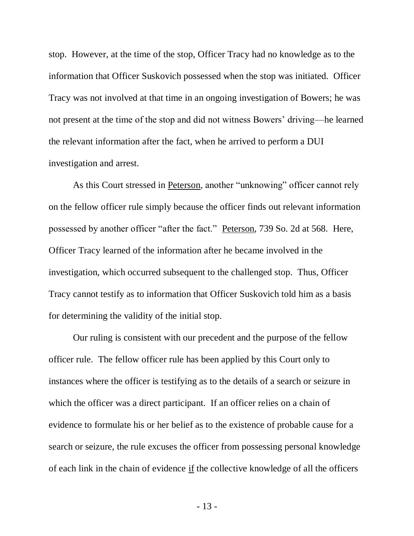stop. However, at the time of the stop, Officer Tracy had no knowledge as to the information that Officer Suskovich possessed when the stop was initiated. Officer Tracy was not involved at that time in an ongoing investigation of Bowers; he was not present at the time of the stop and did not witness Bowers' driving—he learned the relevant information after the fact, when he arrived to perform a DUI investigation and arrest.

As this Court stressed in Peterson, another "unknowing" officer cannot rely on the fellow officer rule simply because the officer finds out relevant information possessed by another officer "after the fact." Peterson, 739 So. 2d at 568. Here, Officer Tracy learned of the information after he became involved in the investigation, which occurred subsequent to the challenged stop. Thus, Officer Tracy cannot testify as to information that Officer Suskovich told him as a basis for determining the validity of the initial stop.

Our ruling is consistent with our precedent and the purpose of the fellow officer rule. The fellow officer rule has been applied by this Court only to instances where the officer is testifying as to the details of a search or seizure in which the officer was a direct participant. If an officer relies on a chain of evidence to formulate his or her belief as to the existence of probable cause for a search or seizure, the rule excuses the officer from possessing personal knowledge of each link in the chain of evidence if the collective knowledge of all the officers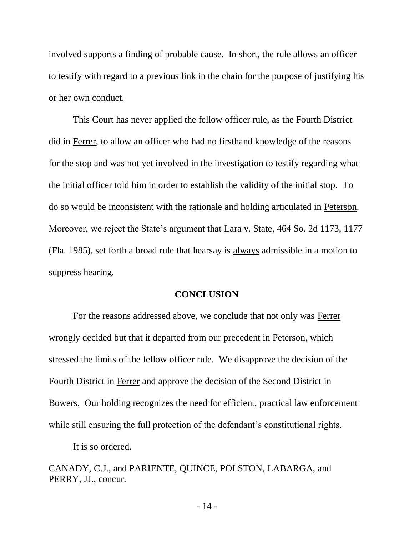involved supports a finding of probable cause. In short, the rule allows an officer to testify with regard to a previous link in the chain for the purpose of justifying his or her own conduct.

This Court has never applied the fellow officer rule, as the Fourth District did in Ferrer, to allow an officer who had no firsthand knowledge of the reasons for the stop and was not yet involved in the investigation to testify regarding what the initial officer told him in order to establish the validity of the initial stop. To do so would be inconsistent with the rationale and holding articulated in Peterson. Moreover, we reject the State's argument that Lara v. State, 464 So. 2d 1173, 1177 (Fla. 1985), set forth a broad rule that hearsay is always admissible in a motion to suppress hearing.

## **CONCLUSION**

For the reasons addressed above, we conclude that not only was Ferrer wrongly decided but that it departed from our precedent in Peterson, which stressed the limits of the fellow officer rule. We disapprove the decision of the Fourth District in Ferrer and approve the decision of the Second District in Bowers. Our holding recognizes the need for efficient, practical law enforcement while still ensuring the full protection of the defendant's constitutional rights.

It is so ordered.

CANADY, C.J., and PARIENTE, QUINCE, POLSTON, LABARGA, and PERRY, JJ., concur.

- 14 -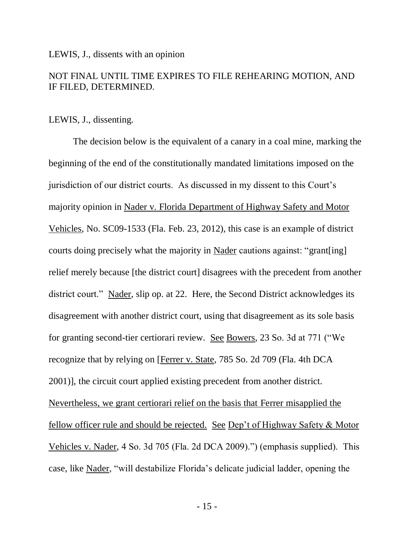### LEWIS, J., dissents with an opinion

# NOT FINAL UNTIL TIME EXPIRES TO FILE REHEARING MOTION, AND IF FILED, DETERMINED.

## LEWIS, J., dissenting.

The decision below is the equivalent of a canary in a coal mine, marking the beginning of the end of the constitutionally mandated limitations imposed on the jurisdiction of our district courts. As discussed in my dissent to this Court's majority opinion in Nader v. Florida Department of Highway Safety and Motor Vehicles, No. SC09-1533 (Fla. Feb. 23, 2012), this case is an example of district courts doing precisely what the majority in Nader cautions against: "grant[ing] relief merely because [the district court] disagrees with the precedent from another district court." Nader, slip op. at 22. Here, the Second District acknowledges its disagreement with another district court, using that disagreement as its sole basis for granting second-tier certiorari review. See Bowers, 23 So. 3d at 771 ("We recognize that by relying on [Ferrer v. State, 785 So. 2d 709 (Fla. 4th DCA 2001)], the circuit court applied existing precedent from another district. Nevertheless, we grant certiorari relief on the basis that Ferrer misapplied the fellow officer rule and should be rejected. See Dep"t of Highway Safety & Motor Vehicles v. Nader, 4 So. 3d 705 (Fla. 2d DCA 2009).") (emphasis supplied). This case, like Nader, "will destabilize Florida"s delicate judicial ladder, opening the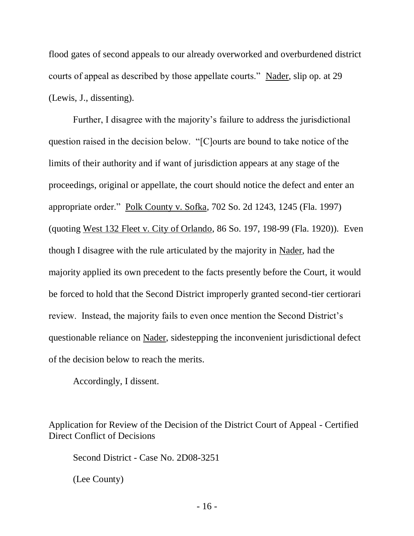flood gates of second appeals to our already overworked and overburdened district courts of appeal as described by those appellate courts." Nader, slip op. at 29 (Lewis, J., dissenting).

Further, I disagree with the majority's failure to address the jurisdictional question raised in the decision below. "[C]ourts are bound to take notice of the limits of their authority and if want of jurisdiction appears at any stage of the proceedings, original or appellate, the court should notice the defect and enter an appropriate order." Polk County v. Sofka, 702 So. 2d 1243, 1245 (Fla. 1997) (quoting West 132 Fleet v. City of Orlando, 86 So. 197, 198-99 (Fla. 1920)). Even though I disagree with the rule articulated by the majority in Nader, had the majority applied its own precedent to the facts presently before the Court, it would be forced to hold that the Second District improperly granted second-tier certiorari review. Instead, the majority fails to even once mention the Second District's questionable reliance on Nader, sidestepping the inconvenient jurisdictional defect of the decision below to reach the merits.

Accordingly, I dissent.

Application for Review of the Decision of the District Court of Appeal - Certified Direct Conflict of Decisions

Second District - Case No. 2D08-3251

(Lee County)